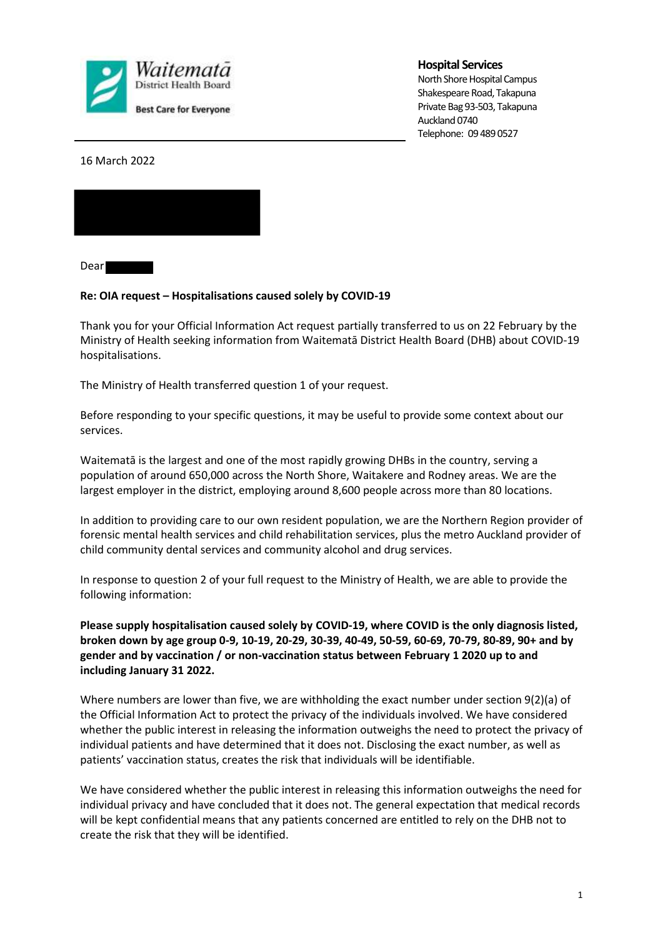

## **Hospital Services**

North Shore Hospital Campus Shakespeare Road, Takapuna Private Bag 93-503, Takapuna Auckland 0740 Telephone: 09 489 0527

16 March 2022



Dear

## **Re: OIA request – Hospitalisations caused solely by COVID-19**

Thank you for your Official Information Act request partially transferred to us on 22 February by the Ministry of Health seeking information from Waitematā District Health Board (DHB) about COVID-19 hospitalisations.

The Ministry of Health transferred question 1 of your request.

Before responding to your specific questions, it may be useful to provide some context about our services.

Waitematā is the largest and one of the most rapidly growing DHBs in the country, serving a population of around 650,000 across the North Shore, Waitakere and Rodney areas. We are the largest employer in the district, employing around 8,600 people across more than 80 locations.

In addition to providing care to our own resident population, we are the Northern Region provider of forensic mental health services and child rehabilitation services, plus the metro Auckland provider of child community dental services and community alcohol and drug services.

In response to question 2 of your full request to the Ministry of Health, we are able to provide the following information:

**Please supply hospitalisation caused solely by COVID-19, where COVID is the only diagnosis listed, broken down by age group 0-9, 10-19, 20-29, 30-39, 40-49, 50-59, 60-69, 70-79, 80-89, 90+ and by gender and by vaccination / or non-vaccination status between February 1 2020 up to and including January 31 2022.** 

Where numbers are lower than five, we are withholding the exact number under section 9(2)(a) of the Official Information Act to protect the privacy of the individuals involved. We have considered whether the public interest in releasing the information outweighs the need to protect the privacy of individual patients and have determined that it does not. Disclosing the exact number, as well as patients' vaccination status, creates the risk that individuals will be identifiable.

We have considered whether the public interest in releasing this information outweighs the need for individual privacy and have concluded that it does not. The general expectation that medical records will be kept confidential means that any patients concerned are entitled to rely on the DHB not to create the risk that they will be identified.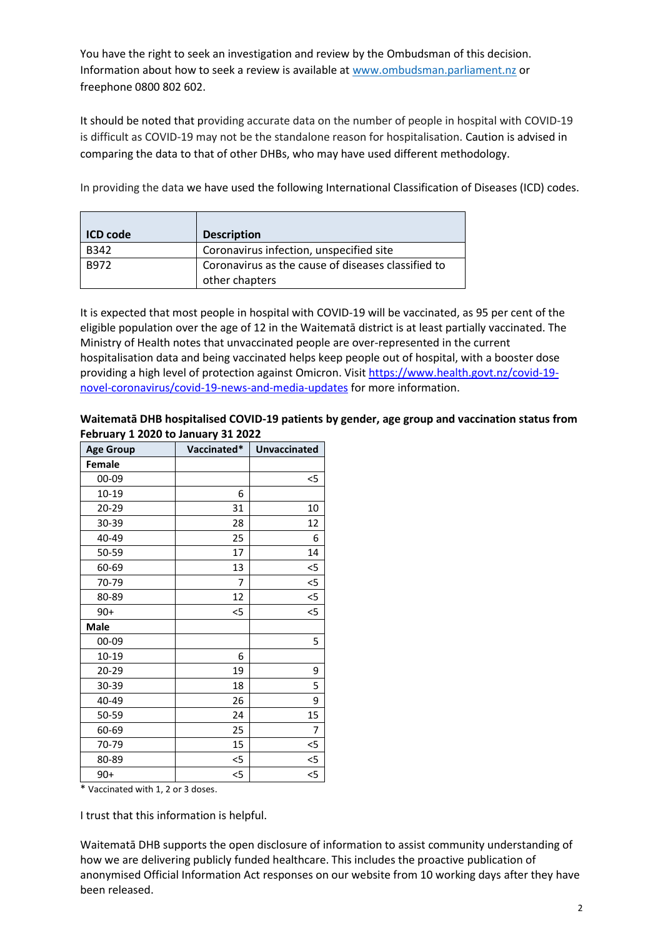You have the right to seek an investigation and review by the Ombudsman of this decision. Information about how to seek a review is available at www.ombudsman.parliament.nz or freephone 0800 802 602.

It should be noted that providing accurate data on the number of people in hospital with COVID-19 is difficult as COVID-19 may not be the standalone reason for hospitalisation. Caution is advised in comparing the data to that of other DHBs, who may have used different methodology.

In providing the data we have used the following International Classification of Diseases (ICD) codes.

| <b>ICD</b> code | <b>Description</b>                                                   |  |
|-----------------|----------------------------------------------------------------------|--|
| <b>B342</b>     | Coronavirus infection, unspecified site                              |  |
| B972            | Coronavirus as the cause of diseases classified to<br>other chapters |  |

It is expected that most people in hospital with COVID-19 will be vaccinated, as 95 per cent of the eligible population over the age of 12 in the Waitematā district is at least partially vaccinated. The Ministry of Health notes that unvaccinated people are over-represented in the current hospitalisation data and being vaccinated helps keep people out of hospital, with a booster dose providing a high level of protection against Omicron. Visit https://www.health.govt.nz/covid-19 novel-coronavirus/covid-19-news-and-media-updates for more information.

| Waitematā DHB hospitalised COVID-19 patients by gender, age group and vaccination status from |
|-----------------------------------------------------------------------------------------------|
| February 1 2020 to January 31 2022                                                            |

| <b>Age Group</b> | Vaccinated*    | <b>Unvaccinated</b> |
|------------------|----------------|---------------------|
| <b>Female</b>    |                |                     |
| 00-09            |                | $<$ 5               |
| 10-19            | 6              |                     |
| 20-29            | 31             | 10                  |
| 30-39            | 28             | 12                  |
| 40-49            | 25             | 6                   |
| 50-59            | 17             | 14                  |
| 60-69            | 13             | $<$ 5               |
| 70-79            | $\overline{7}$ | $<$ 5               |
| 80-89            | 12             | $<$ 5               |
| $90+$            | $<$ 5          | $<$ 5               |
| Male             |                |                     |
| 00-09            |                | 5                   |
| $10 - 19$        | 6              |                     |
| 20-29            | 19             | 9                   |
| 30-39            | 18             | 5                   |
| 40-49            | 26             | 9                   |
| 50-59            | 24             | 15                  |
| 60-69            | 25             | 7                   |
| 70-79            | 15             | $5$                 |
| 80-89            | $<$ 5          | $<$ 5               |
| $90+$            | $<$ 5          | $<$ 5               |

\* Vaccinated with 1, 2 or 3 doses.

I trust that this information is helpful.

Waitematā DHB supports the open disclosure of information to assist community understanding of how we are delivering publicly funded healthcare. This includes the proactive publication of anonymised Official Information Act responses on our website from 10 working days after they have been released.